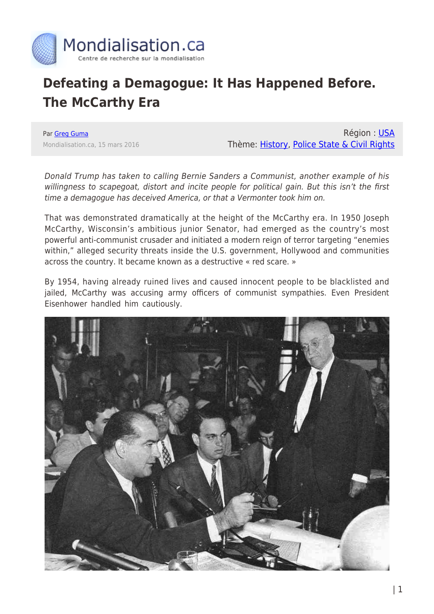

## **Defeating a Demagogue: It Has Happened Before. The McCarthy Era**

Par [Greg Guma](https://www.mondialisation.ca/author/greg-guma) Mondialisation.ca, 15 mars 2016

Région : [USA](https://www.mondialisation.ca/region/usa) Thème: [History](https://www.mondialisation.ca/theme/culture-society-history), [Police State & Civil Rights](https://www.mondialisation.ca/theme/police-state-civil-rights)

Donald Trump has taken to calling Bernie Sanders a Communist, another example of his willingness to scapegoat, distort and incite people for political gain. But this isn't the first time a demagogue has deceived America, or that a Vermonter took him on.

That was demonstrated dramatically at the height of the McCarthy era. In 1950 Joseph McCarthy, Wisconsin's ambitious junior Senator, had emerged as the country's most powerful anti-communist crusader and initiated a modern reign of terror targeting "enemies within," alleged security threats inside the U.S. government, Hollywood and communities across the country. It became known as a destructive « red scare. »

By 1954, having already ruined lives and caused innocent people to be blacklisted and jailed, McCarthy was accusing army officers of communist sympathies. Even President Eisenhower handled him cautiously.

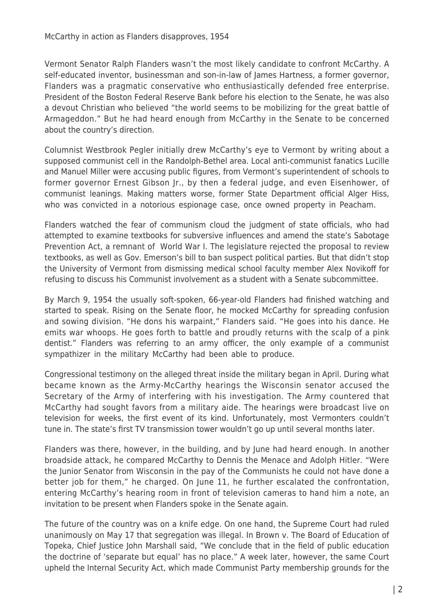Vermont Senator Ralph Flanders wasn't the most likely candidate to confront McCarthy. A self-educated inventor, businessman and son-in-law of James Hartness, a former governor, Flanders was a pragmatic conservative who enthusiastically defended free enterprise. President of the Boston Federal Reserve Bank before his election to the Senate, he was also a devout Christian who believed "the world seems to be mobilizing for the great battle of Armageddon." But he had heard enough from McCarthy in the Senate to be concerned about the country's direction.

Columnist Westbrook Pegler initially drew McCarthy's eye to Vermont by writing about a supposed communist cell in the Randolph-Bethel area. Local anti-communist fanatics Lucille and Manuel Miller were accusing public figures, from Vermont's superintendent of schools to former governor Ernest Gibson Jr., by then a federal judge, and even Eisenhower, of communist leanings. Making matters worse, former State Department official Alger Hiss, who was convicted in a notorious espionage case, once owned property in Peacham.

Flanders watched the fear of communism cloud the judgment of state officials, who had attempted to examine textbooks for subversive influences and amend the state's Sabotage Prevention Act, a remnant of World War I. The legislature rejected the proposal to review textbooks, as well as Gov. Emerson's bill to ban suspect political parties. But that didn't stop the University of Vermont from dismissing medical school faculty member Alex Novikoff for refusing to discuss his Communist involvement as a student with a Senate subcommittee.

By March 9, 1954 the usually soft-spoken, 66-year-old Flanders had finished watching and started to speak. Rising on the Senate floor, he mocked McCarthy for spreading confusion and sowing division. "He dons his warpaint," Flanders said. "He goes into his dance. He emits war whoops. He goes forth to battle and proudly returns with the scalp of a pink dentist." Flanders was referring to an army officer, the only example of a communist sympathizer in the military McCarthy had been able to produce.

Congressional testimony on the alleged threat inside the military began in April. During what became known as the Army-McCarthy hearings the Wisconsin senator accused the Secretary of the Army of interfering with his investigation. The Army countered that McCarthy had sought favors from a military aide. The hearings were broadcast live on television for weeks, the first event of its kind. Unfortunately, most Vermonters couldn't tune in. The state's first TV transmission tower wouldn't go up until several months later.

Flanders was there, however, in the building, and by June had heard enough. In another broadside attack, he compared McCarthy to Dennis the Menace and Adolph Hitler. "Were the Junior Senator from Wisconsin in the pay of the Communists he could not have done a better job for them," he charged. On June 11, he further escalated the confrontation, entering McCarthy's hearing room in front of television cameras to hand him a note, an invitation to be present when Flanders spoke in the Senate again.

The future of the country was on a knife edge. On one hand, the Supreme Court had ruled unanimously on May 17 that segregation was illegal. In Brown v. The Board of Education of Topeka, Chief Justice John Marshall said, "We conclude that in the field of public education the doctrine of 'separate but equal' has no place." A week later, however, the same Court upheld the Internal Security Act, which made Communist Party membership grounds for the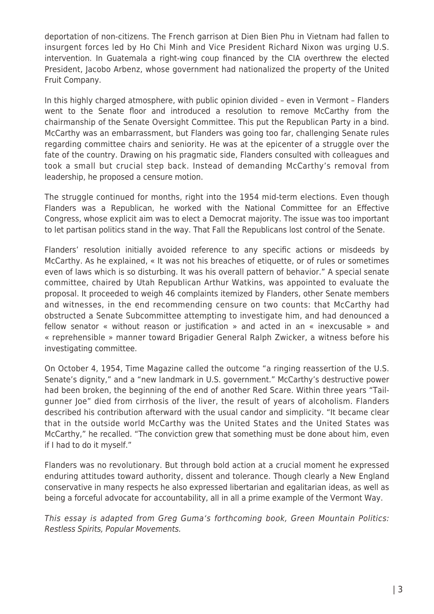deportation of non-citizens. The French garrison at Dien Bien Phu in Vietnam had fallen to insurgent forces led by Ho Chi Minh and Vice President Richard Nixon was urging U.S. intervention. In Guatemala a right-wing coup financed by the CIA overthrew the elected President, Jacobo Arbenz, whose government had nationalized the property of the United Fruit Company.

In this highly charged atmosphere, with public opinion divided – even in Vermont – Flanders went to the Senate floor and introduced a resolution to remove McCarthy from the chairmanship of the Senate Oversight Committee. This put the Republican Party in a bind. McCarthy was an embarrassment, but Flanders was going too far, challenging Senate rules regarding committee chairs and seniority. He was at the epicenter of a struggle over the fate of the country. Drawing on his pragmatic side, Flanders consulted with colleagues and took a small but crucial step back. Instead of demanding McCarthy's removal from leadership, he proposed a censure motion.

The struggle continued for months, right into the 1954 mid-term elections. Even though Flanders was a Republican, he worked with the National Committee for an Effective Congress, whose explicit aim was to elect a Democrat majority. The issue was too important to let partisan politics stand in the way. That Fall the Republicans lost control of the Senate.

Flanders' resolution initially avoided reference to any specific actions or misdeeds by McCarthy. As he explained, « It was not his breaches of etiquette, or of rules or sometimes even of laws which is so disturbing. It was his overall pattern of behavior." A special senate committee, chaired by Utah Republican Arthur Watkins, was appointed to evaluate the proposal. It proceeded to weigh 46 complaints itemized by Flanders, other Senate members and witnesses, in the end recommending censure on two counts: that McCarthy had obstructed a Senate Subcommittee attempting to investigate him, and had denounced a fellow senator « without reason or justification » and acted in an « inexcusable » and « reprehensible » manner toward Brigadier General Ralph Zwicker, a witness before his investigating committee.

On October 4, 1954, Time Magazine called the outcome "a ringing reassertion of the U.S. Senate's dignity," and a "new landmark in U.S. government." McCarthy's destructive power had been broken, the beginning of the end of another Red Scare. Within three years "Tailgunner Joe" died from cirrhosis of the liver, the result of years of alcoholism. Flanders described his contribution afterward with the usual candor and simplicity. "It became clear that in the outside world McCarthy was the United States and the United States was McCarthy," he recalled. "The conviction grew that something must be done about him, even if I had to do it myself."

Flanders was no revolutionary. But through bold action at a crucial moment he expressed enduring attitudes toward authority, dissent and tolerance. Though clearly a New England conservative in many respects he also expressed libertarian and egalitarian ideas, as well as being a forceful advocate for accountability, all in all a prime example of the Vermont Way.

This essay is adapted from Greg Guma's forthcoming book, Green Mountain Politics: Restless Spirits, Popular Movements.